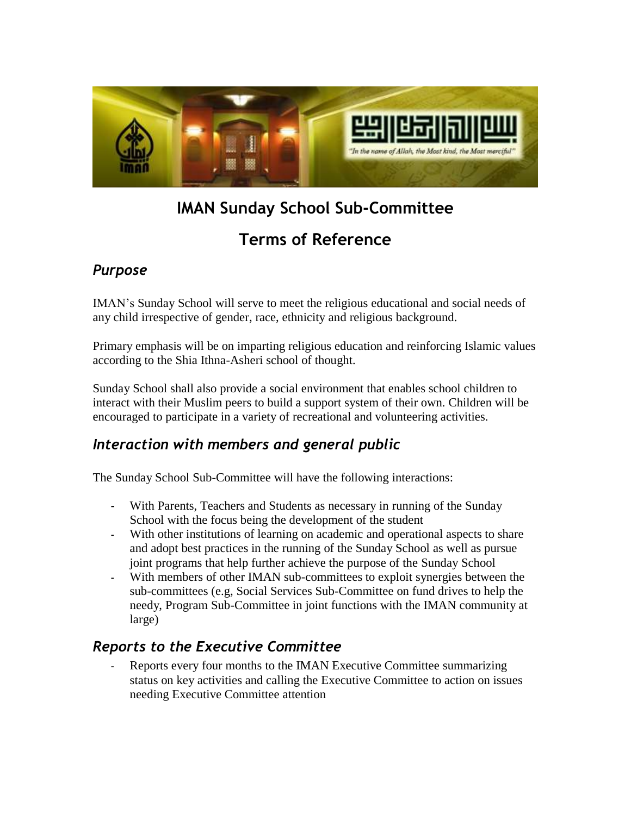

# **IMAN Sunday School Sub-Committee**

## **Terms of Reference**

### *Purpose*

IMAN's Sunday School will serve to meet the religious educational and social needs of any child irrespective of gender, race, ethnicity and religious background.

Primary emphasis will be on imparting religious education and reinforcing Islamic values according to the Shia Ithna-Asheri school of thought.

Sunday School shall also provide a social environment that enables school children to interact with their Muslim peers to build a support system of their own. Children will be encouraged to participate in a variety of recreational and volunteering activities.

### *Interaction with members and general public*

The Sunday School Sub-Committee will have the following interactions:

- With Parents, Teachers and Students as necessary in running of the Sunday School with the focus being the development of the student
- With other institutions of learning on academic and operational aspects to share and adopt best practices in the running of the Sunday School as well as pursue joint programs that help further achieve the purpose of the Sunday School
- With members of other IMAN sub-committees to exploit synergies between the sub-committees (e.g, Social Services Sub-Committee on fund drives to help the needy, Program Sub-Committee in joint functions with the IMAN community at large)

### *Reports to the Executive Committee*

Reports every four months to the IMAN Executive Committee summarizing status on key activities and calling the Executive Committee to action on issues needing Executive Committee attention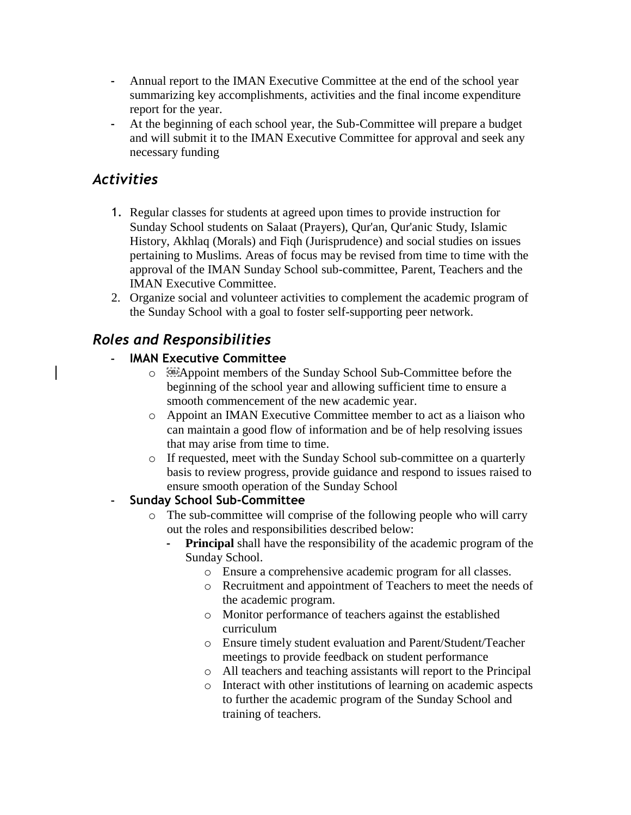- Annual report to the IMAN Executive Committee at the end of the school year summarizing key accomplishments, activities and the final income expenditure report for the year.
- At the beginning of each school year, the Sub-Committee will prepare a budget and will submit it to the IMAN Executive Committee for approval and seek any necessary funding

#### *Activities*

- 1. Regular classes for students at agreed upon times to provide instruction for Sunday School students on Salaat (Prayers), Qur'an, Qur'anic Study, Islamic History, Akhlaq (Morals) and Fiqh (Jurisprudence) and social studies on issues pertaining to Muslims. Areas of focus may be revised from time to time with the approval of the IMAN Sunday School sub-committee, Parent, Teachers and the IMAN Executive Committee.
- 2. Organize social and volunteer activities to complement the academic program of the Sunday School with a goal to foster self-supporting peer network.

### *Roles and Responsibilities*

#### **IMAN Executive Committee**

- o Appoint members of the Sunday School Sub-Committee before the beginning of the school year and allowing sufficient time to ensure a smooth commencement of the new academic year.
- o Appoint an IMAN Executive Committee member to act as a liaison who can maintain a good flow of information and be of help resolving issues that may arise from time to time.
- o If requested, meet with the Sunday School sub-committee on a quarterly basis to review progress, provide guidance and respond to issues raised to ensure smooth operation of the Sunday School

#### - **Sunday School Sub-Committee**

- o The sub-committee will comprise of the following people who will carry out the roles and responsibilities described below:
	- **Principal** shall have the responsibility of the academic program of the Sunday School.
		- o Ensure a comprehensive academic program for all classes.
		- o Recruitment and appointment of Teachers to meet the needs of the academic program.
		- o Monitor performance of teachers against the established curriculum
		- o Ensure timely student evaluation and Parent/Student/Teacher meetings to provide feedback on student performance
		- o All teachers and teaching assistants will report to the Principal
		- o Interact with other institutions of learning on academic aspects to further the academic program of the Sunday School and training of teachers.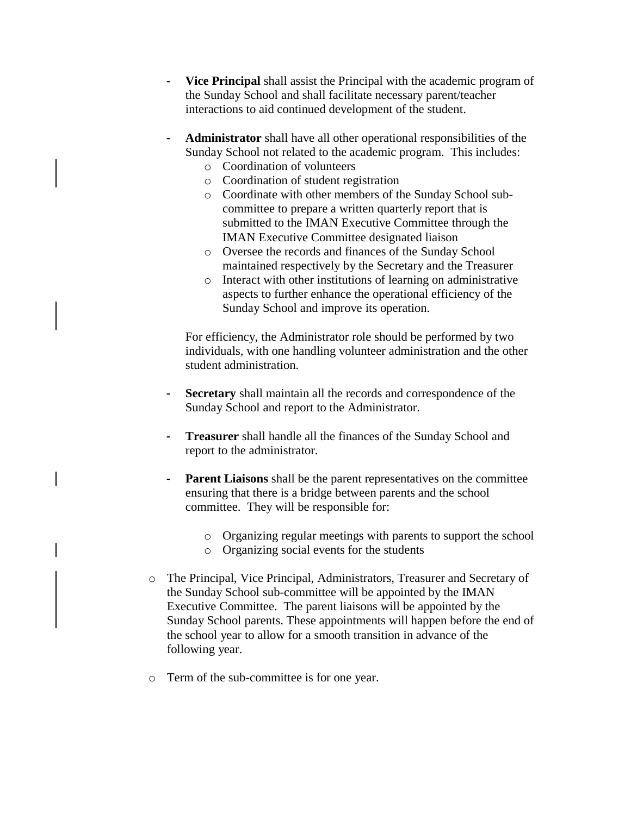- **Vice Principal** shall assist the Principal with the academic program of the Sunday School and shall facilitate necessary parent/teacher interactions to aid continued development of the student.
- **Administrator** shall have all other operational responsibilities of the Sunday School not related to the academic program. This includes:
	- o Coordination of volunteers
	- o Coordination of student registration
	- o Coordinate with other members of the Sunday School subcommittee to prepare a written quarterly report that is submitted to the IMAN Executive Committee through the IMAN Executive Committee designated liaison
	- o Oversee the records and finances of the Sunday School maintained respectively by the Secretary and the Treasurer
	- o Interact with other institutions of learning on administrative aspects to further enhance the operational efficiency of the Sunday School and improve its operation.

For efficiency, the Administrator role should be performed by two individuals, with one handling volunteer administration and the other student administration.

- Secretary shall maintain all the records and correspondence of the Sunday School and report to the Administrator.
- **Treasurer** shall handle all the finances of the Sunday School and report to the administrator.
- **Parent Liaisons** shall be the parent representatives on the committee ensuring that there is a bridge between parents and the school committee. They will be responsible for:
	- o Organizing regular meetings with parents to support the school
	- o Organizing social events for the students
- o The Principal, Vice Principal, Administrators, Treasurer and Secretary of the Sunday School sub-committee will be appointed by the IMAN Executive Committee. The parent liaisons will be appointed by the Sunday School parents. These appointments will happen before the end of the school year to allow for a smooth transition in advance of the following year.
- o Term of the sub-committee is for one year.